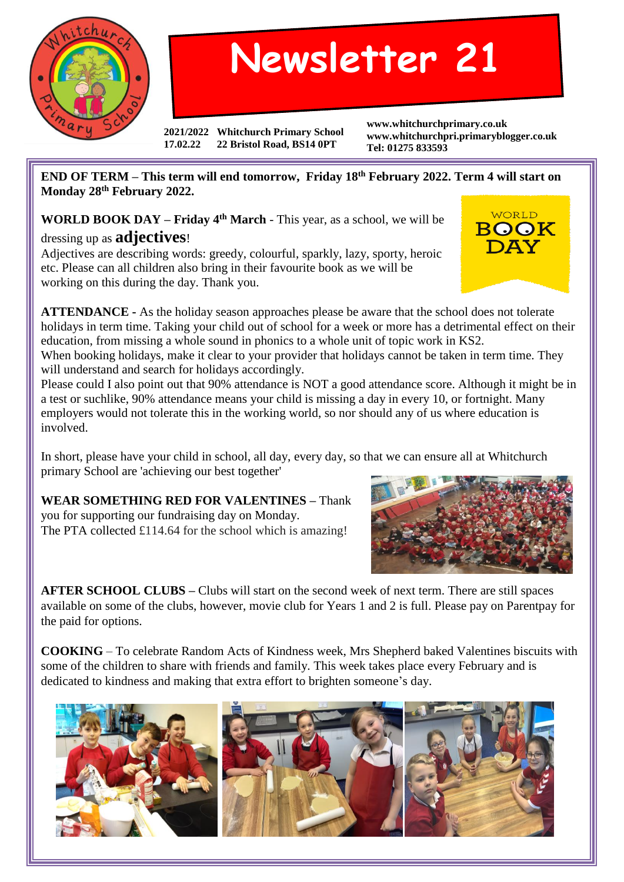

## **Newsletter 21**

**2021/2022 Whitchurch Primary School 17.02.22 22 Bristol Road, BS14 0PT**

**www.whitchurchprimary.co.uk www.whitchurchpri.primaryblogger.co.uk Tel: 01275 833593**

**END OF TERM – This term will end tomorrow, Friday 18th February 2022. Term 4 will start on Monday 28th February 2022.**

**WORLD BOOK DAY – Friday 4th March** - This year, as a school, we will be dressing up as **adjectives**!

Adjectives are describing words: greedy, colourful, sparkly, lazy, sporty, heroic etc. Please can all children also bring in their favourite book as we will be working on this during the day. Thank you.

**ATTENDANCE -** As the holiday season approaches please be aware that the school does not tolerate holidays in term time. Taking your child out of school for a week or more has a detrimental effect on their education, from missing a whole sound in phonics to a whole unit of topic work in KS2.

When booking holidays, make it clear to your provider that holidays cannot be taken in term time. They will understand and search for holidays accordingly.

Please could I also point out that 90% attendance is NOT a good attendance score. Although it might be in a test or suchlike, 90% attendance means your child is missing a day in every 10, or fortnight. Many employers would not tolerate this in the working world, so nor should any of us where education is involved.

In short, please have your child in school, all day, every day, so that we can ensure all at Whitchurch primary School are 'achieving our best together'

**WEAR SOMETHING RED FOR VALENTINES –** Thank you for supporting our fundraising day on Monday. The PTA collected £114.64 for the school which is amazing!



**AFTER SCHOOL CLUBS –** Clubs will start on the second week of next term. There are still spaces available on some of the clubs, however, movie club for Years 1 and 2 is full. Please pay on Parentpay for the paid for options.

**COOKING** – To celebrate Random Acts of Kindness week, Mrs Shepherd baked Valentines biscuits with some of the children to share with friends and family. This week takes place every February and is dedicated to kindness and making that extra effort to brighten someone's day.



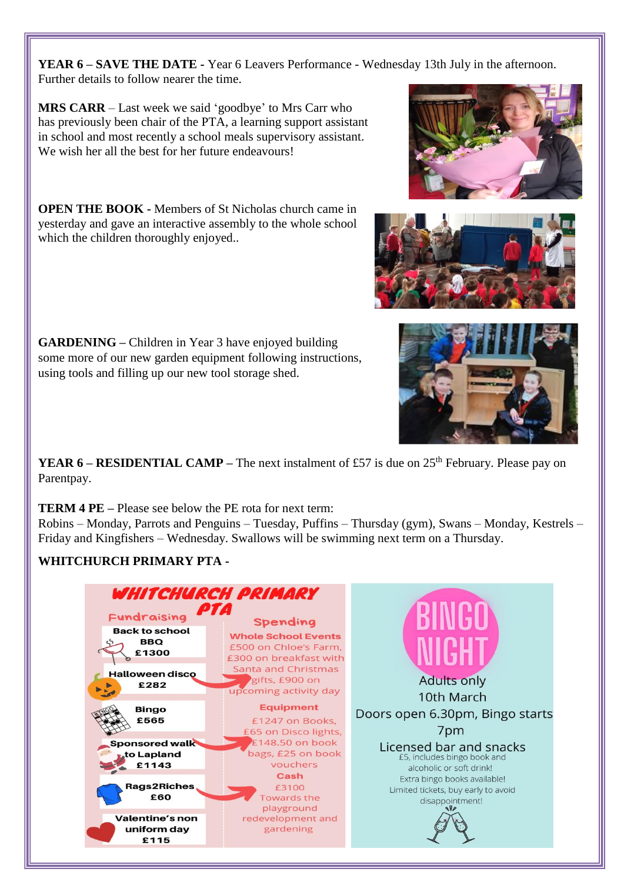**YEAR 6 – SAVE THE DATE -** Year 6 Leavers Performance - Wednesday 13th July in the afternoon. Further details to follow nearer the time.

**MRS CARR** – Last week we said 'goodbye' to Mrs Carr who has previously been chair of the PTA, a learning support assistant in school and most recently a school meals supervisory assistant. We wish her all the best for her future endeavours!

**OPEN THE BOOK -** Members of St Nicholas church came in yesterday and gave an interactive assembly to the whole school which the children thoroughly enjoyed..

**GARDENING –** Children in Year 3 have enjoyed building some more of our new garden equipment following instructions, using tools and filling up our new tool storage shed.

**YEAR 6 – RESIDENTIAL CAMP –** The next instalment of £57 is due on 25<sup>th</sup> February. Please pay on Parentpay.

**TERM 4 PE –** Please see below the PE rota for next term:

Robins – Monday, Parrots and Penguins – Tuesday, Puffins – Thursday (gym), Swans – Monday, Kestrels – Friday and Kingfishers – Wednesday. Swallows will be swimming next term on a Thursday.

## **WHITCHURCH PRIMARY PTA -**